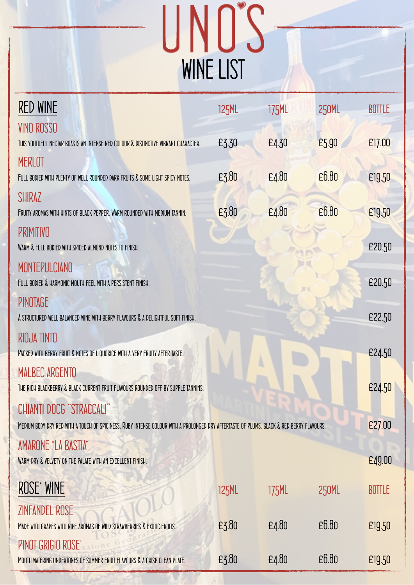## UNO'S

| <b>RED WINE</b>                                                                                                                          | <b>125ML</b> | 175ML | <b>250ML</b> | <b>BOTTLE</b> |
|------------------------------------------------------------------------------------------------------------------------------------------|--------------|-------|--------------|---------------|
| <b>VINO ROSSO</b>                                                                                                                        |              |       |              |               |
| THIS YOUTHFUL NECTAR BOASTS AN INTENSE RED COLOUR & DISTINCTIVE VIBRANT CHARACTER.                                                       | £3.30        | £4.30 | £5.90        | £17.00        |
| MERLOT                                                                                                                                   |              |       |              |               |
| FULL BODIED WITH PLENTY OF WELL ROUNDED DARK FRUITS & SOME LIGHT SPICY NOTES.                                                            | £3.80        | £4.80 | £6.80        | £19.50        |
| <b>SHIRAZ</b>                                                                                                                            |              |       |              |               |
| FRUITY AROMAS WITH HINTS OF BLACK PEPPER. WARM ROUNDED WITH MEDIUM TANNIN.                                                               | £3.80        | £4.80 | £6.80        | £19.50        |
| PRIMITIVO                                                                                                                                |              |       |              |               |
| WARM & FULL BODIED WITH SPICED ALMOND NOTES TO FINISH.                                                                                   |              |       |              | £20.50        |
| <b>MONTEPULCIANO</b>                                                                                                                     |              |       |              |               |
| FULL BODIED & HARMONIC MOUTH FEEL WITH A PERSISTENT FINISH.                                                                              |              |       |              | £20.50        |
| <b>PINOTAGE</b>                                                                                                                          |              |       |              |               |
| A STRUCTURED WELL BALANCED WINE WITH BERRY FLAVOURS & A DELIGHTFUL SOFT FINISH.                                                          |              |       |              | £22.50        |
| RIOJA TINTO                                                                                                                              |              |       |              |               |
| PACKED WITH BERRY FRUIT & NOTES OF LIQUORICE WITH A VERY FRUITY AFTER TASTE.                                                             |              |       |              | £24.50        |
| <b>MALBEC ARGENTO</b>                                                                                                                    |              |       |              |               |
| THE RICH BLACKBERRY & BLACK CURRENT FRUIT FLAVOURS ROUNDED OFF BY SUPPLE TANNINS.                                                        |              |       |              | £24.50        |
| CHIANTI DOCG "STRACCALI                                                                                                                  |              |       |              |               |
| MEDIUM BODY DRY RED WITH A TOUCH OF SPICINESS. RUBY INTENSE COLOUR WITH A PROLONGED DRY AFTERTASTE OF PLUMS, BLACK & RED BERRY FLAVOURS. |              |       |              | £27.00        |
| AMARONE "LA BASTIA"                                                                                                                      |              |       |              |               |
| WARM DRY & VELVETY ON THE PALATE WITH AN EXCELLENT FINISH.                                                                               |              |       |              | £49.00        |
|                                                                                                                                          |              |       |              |               |
| ROSE' WINE                                                                                                                               | <b>125ML</b> | 175ML | <b>250ML</b> | <b>BOTTLE</b> |
| ZINFANDEL ROSE                                                                                                                           |              |       |              |               |
| MADE WITH GRAPES WITH RIPE AROMAS OF WILD STRAWBERRIES & EXOTIC FRUITS.                                                                  | £3.80        | E4.80 | £6.80        | £19.50        |
| PINOT GRIGIO ROSE'                                                                                                                       |              |       |              |               |
| MOUTH WATERING UNDERTONES OF SUMMER FRUIT FLAVOURS & A CRISP CLEAN PLATE.                                                                | £3.80        | E4.80 | £6.80        | £19.50        |